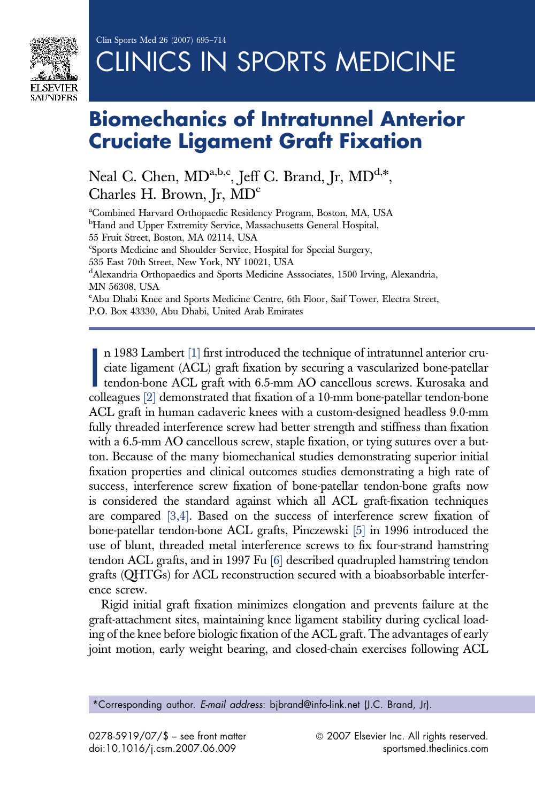Clin Sports Med 26 (2007) 695-714



# **CLINICS IN SPORTS MEDICINE**

# **Biomechanics of Intratunnel Anterior Cruciate Ligament Graft Fixation**

Neal C. Chen, MD<sup>a,b,c</sup>, Jeff C. Brand, Jr, MD<sup>d,\*</sup>, Charles H. Brown, Jr, MD<sup>e</sup>

<sup>a</sup>Combined Harvard Orthopaedic Residency Program, Boston, MA, USA <sup>b</sup>Hand and Upper Extremity Service, Massachusetts General Hospital, 55 Fruit Street, Boston, MA 02114, USA <sup>c</sup>Sports Medicine and Shoulder Service, Hospital for Special Surgery, 535 East 70th Street, New York, NY 10021, USA <sup>d</sup>Alexandria Orthopaedics and Sports Medicine Asssociates, 1500 Irving, Alexandria, MN 56308, USA "Abu Dhabi Knee and Sports Medicine Centre, 6th Floor, Saif Tower, Electra Street, P.O. Box 43330, Abu Dhabi, United Arab Emirates

n 1983 Lambert [1] first introduced the technique of intratunnel anterior cruciate ligament (ACL) graft fixation by securing a vascularized bone-patellar tendon-bone ACL graft with 6.5-mm AO cancellous screws. Kurosaka and colleagues [2] demonstrated that fixation of a 10-mm bone-patellar tendon-bone ACL graft in human cadaveric knees with a custom-designed headless 9.0-mm fully threaded interference screw had better strength and stiffness than fixation with a 6.5-mm AO cancellous screw, staple fixation, or tying sutures over a button. Because of the many biomechanical studies demonstrating superior initial fixation properties and clinical outcomes studies demonstrating a high rate of success, interference screw fixation of bone-patellar tendon-bone grafts now is considered the standard against which all ACL graft-fixation techniques are compared  $[3,4]$ . Based on the success of interference screw fixation of bone-patellar tendon-bone ACL grafts, Pinczewski [5] in 1996 introduced the use of blunt, threaded metal interference screws to fix four-strand hamstring tendon ACL grafts, and in 1997 Fu [6] described quadrupled hamstring tendon grafts (QHTGs) for ACL reconstruction secured with a bioabsorbable interference screw.

Rigid initial graft fixation minimizes elongation and prevents failure at the graft-attachment sites, maintaining knee ligament stability during cyclical loading of the knee before biologic fixation of the ACL graft. The advantages of early joint motion, early weight bearing, and closed-chain exercises following ACL

<sup>\*</sup>Corresponding author. E-mail address: bjbrand@info-link.net (J.C. Brand, Jr).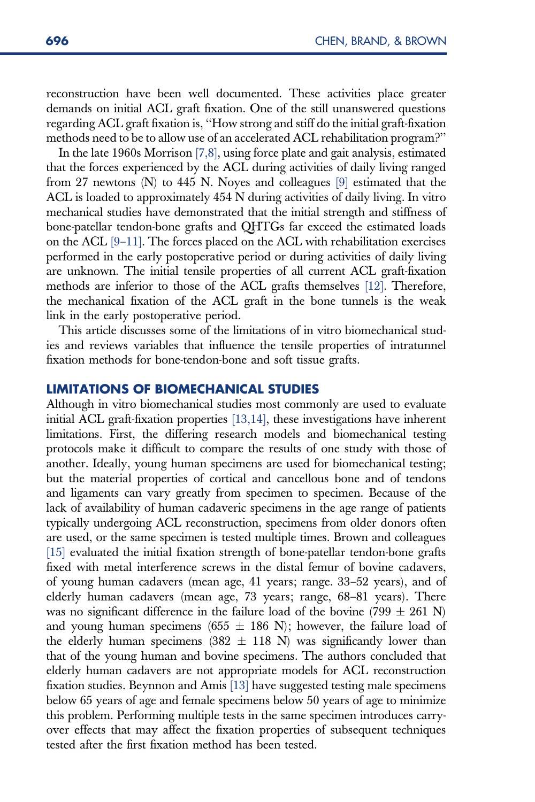reconstruction have been well documented. These activities place greater demands on initial ACL graft fixation. One of the still unanswered questions regarding ACL graft fixation is, "How strong and stiff do the initial graft-fixation methods need to be to allow use of an accelerated ACL rehabilitation program?"

In the late 1960s Morrison [7,8], using force plate and gait analysis, estimated that the forces experienced by the ACL during activities of daily living ranged from 27 newtons (N) to 445 N. Noyes and colleagues [9] estimated that the ACL is loaded to approximately 454 N during activities of daily living. In vitro mechanical studies have demonstrated that the initial strength and stiffness of bone-patellar tendon-bone grafts and QHTGs far exceed the estimated loads on the ACL  $[9-11]$ . The forces placed on the ACL with rehabilitation exercises performed in the early postoperative period or during activities of daily living are unknown. The initial tensile properties of all current ACL graft-fixation methods are inferior to those of the ACL grafts themselves [12]. Therefore, the mechanical fixation of the ACL graft in the bone tunnels is the weak link in the early postoperative period.

This article discusses some of the limitations of in vitro biomechanical studies and reviews variables that influence the tensile properties of intratunnel fixation methods for bone-tendon-bone and soft tissue grafts.

#### **LIMITATIONS OF BIOMECHANICAL STUDIES**

Although in vitro biomechanical studies most commonly are used to evaluate initial ACL graft-fixation properties  $[13,14]$ , these investigations have inherent limitations. First, the differing research models and biomechanical testing protocols make it difficult to compare the results of one study with those of another. Ideally, young human specimens are used for biomechanical testing; but the material properties of cortical and cancellous bone and of tendons and ligaments can vary greatly from specimen to specimen. Because of the lack of availability of human cadaveric specimens in the age range of patients typically undergoing ACL reconstruction, specimens from older donors often are used, or the same specimen is tested multiple times. Brown and colleagues [15] evaluated the initial fixation strength of bone-patellar tendon-bone grafts fixed with metal interference screws in the distal femur of bovine cadavers, of young human cadavers (mean age, 41 years; range. 33-52 years), and of elderly human cadavers (mean age, 73 years; range, 68-81 years). There was no significant difference in the failure load of the bovine (799  $\pm$  261 N) and young human specimens (655  $\pm$  186 N); however, the failure load of the elderly human specimens (382  $\pm$  118 N) was significantly lower than that of the young human and bovine specimens. The authors concluded that elderly human cadavers are not appropriate models for ACL reconstruction fixation studies. Beynnon and Amis [13] have suggested testing male specimens below 65 years of age and female specimens below 50 years of age to minimize this problem. Performing multiple tests in the same specimen introduces carryover effects that may affect the fixation properties of subsequent techniques tested after the first fixation method has been tested.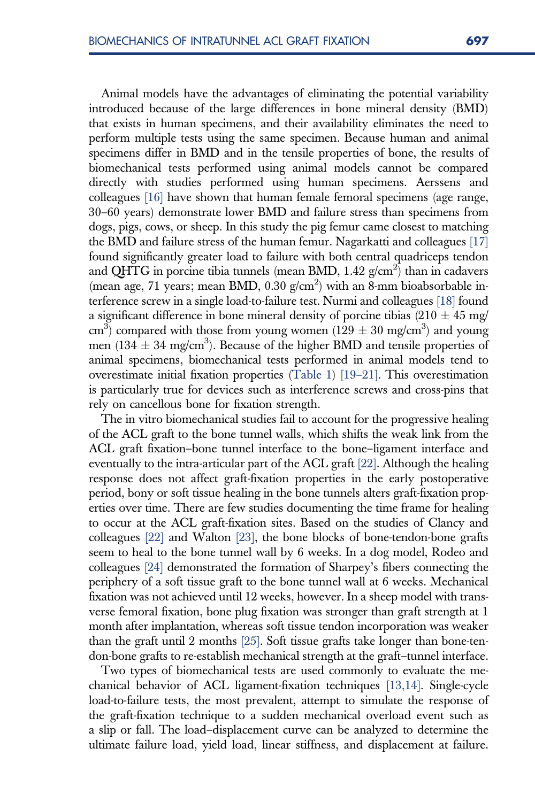Animal models have the advantages of eliminating the potential variability introduced because of the large differences in bone mineral density (BMD) that exists in human specimens, and their availability eliminates the need to perform multiple tests using the same specimen. Because human and animal specimens differ in BMD and in the tensile properties of bone, the results of biomechanical tests performed using animal models cannot be compared directly with studies performed using human specimens. Aerssens and colleagues [16] have shown that human female femoral specimens (age range, 30-60 years) demonstrate lower BMD and failure stress than specimens from dogs, pigs, cows, or sheep. In this study the pig femur came closest to matching the BMD and failure stress of the human femur. Nagarkatti and colleagues [17] found significantly greater load to failure with both central quadriceps tendon and QHTG in porcine tibia tunnels (mean BMD,  $1.42 \text{ g/cm}^2$ ) than in cadavers (mean age, 71 years; mean BMD, 0.30  $g/cm<sup>2</sup>$ ) with an 8-mm bioabsorbable interference screw in a single load-to-failure test. Nurmi and colleagues [18] found a significant difference in bone mineral density of porcine tibias  $(210 \pm 45 \text{ mg})$ cm<sup>3</sup>) compared with those from young women (129  $\pm$  30 mg/cm<sup>3</sup>) and young men (134  $\pm$  34 mg/cm<sup>3</sup>). Because of the higher BMD and tensile properties of animal specimens, biomechanical tests performed in animal models tend to overestimate initial fixation properties (Table 1) [19-21]. This overestimation is particularly true for devices such as interference screws and cross-pins that rely on cancellous bone for fixation strength.

The in vitro biomechanical studies fail to account for the progressive healing of the ACL graft to the bone tunnel walls, which shifts the weak link from the ACL graft fixation-bone tunnel interface to the bone-ligament interface and eventually to the intra-articular part of the ACL graft [22]. Although the healing response does not affect graft-fixation properties in the early postoperative period, bony or soft tissue healing in the bone tunnels alters graft-fixation properties over time. There are few studies documenting the time frame for healing to occur at the ACL graft-fixation sites. Based on the studies of Clancy and colleagues [22] and Walton [23], the bone blocks of bone-tendon-bone grafts seem to heal to the bone tunnel wall by 6 weeks. In a dog model, Rodeo and colleagues [24] demonstrated the formation of Sharpey's fibers connecting the periphery of a soft tissue graft to the bone tunnel wall at 6 weeks. Mechanical fixation was not achieved until 12 weeks, however. In a sheep model with transverse femoral fixation, bone plug fixation was stronger than graft strength at 1 month after implantation, whereas soft tissue tendon incorporation was weaker than the graft until 2 months [25]. Soft tissue grafts take longer than bone-tendon-bone grafts to re-establish mechanical strength at the graft-tunnel interface.

Two types of biomechanical tests are used commonly to evaluate the mechanical behavior of ACL ligament-fixation techniques [13,14]. Single-cycle load-to-failure tests, the most prevalent, attempt to simulate the response of the graft-fixation technique to a sudden mechanical overload event such as a slip or fall. The load-displacement curve can be analyzed to determine the ultimate failure load, yield load, linear stiffness, and displacement at failure.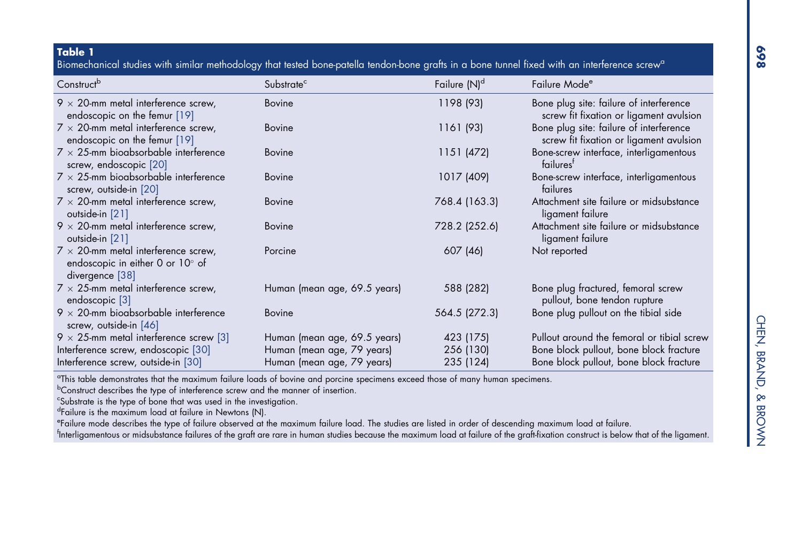# Table 1

Biomechanical studies with similar methodology that tested bone-patella tendon-bone grafts in a bone tunnel fixed with an interference screw<sup>a</sup>

| Construct <sup>b</sup>                                                                                      | Substrate <sup>c</sup>       | Failure (N) <sup>d</sup> | Failure Mode <sup>e</sup>                                                          |
|-------------------------------------------------------------------------------------------------------------|------------------------------|--------------------------|------------------------------------------------------------------------------------|
| $9 \times 20$ -mm metal interference screw,<br>endoscopic on the femur $[19]$                               | Bovine                       | 1198 (93)                | Bone plug site: failure of interference<br>screw fit fixation or ligament avulsion |
| $7 \times 20$ -mm metal interference screw,<br>endoscopic on the femur $[19]$                               | <b>Bovine</b>                | 1161 (93)                | Bone plug site: failure of interference<br>screw fit fixation or ligament avulsion |
| $7 \times 25$ -mm bioabsorbable interference<br>screw, endoscopic [20]                                      | <b>Bovine</b>                | 1151 (472)               | Bone-screw interface, interligamentous<br>failures <sup>t</sup>                    |
| $7 \times 25$ -mm bioabsorbable interference<br>screw, outside-in [20]                                      | <b>Bovine</b>                | 1017 (409)               | Bone-screw interface, interligamentous<br>failures                                 |
| $7 \times 20$ -mm metal interference screw,<br>outside-in [21]                                              | <b>Bovine</b>                | 768.4 (163.3)            | Attachment site failure or midsubstance<br>ligament failure                        |
| $9 \times 20$ -mm metal interference screw,<br>outside-in [21]                                              | Bovine                       | 728.2 (252.6)            | Attachment site failure or midsubstance<br>ligament failure                        |
| $7 \times 20$ -mm metal interference screw,<br>endoscopic in either 0 or $10^{\circ}$ of<br>divergence [38] | Porcine                      | 607 (46)                 | Not reported                                                                       |
| $7 \times 25$ -mm metal interference screw,<br>endoscopic [3]                                               | Human (mean age, 69.5 years) | 588 (282)                | Bone plug fractured, femoral screw<br>pullout, bone tendon rupture                 |
| $9 \times 20$ -mm bioabsorbable interference<br>screw, outside-in [46]                                      | <b>Bovine</b>                | 564.5 (272.3)            | Bone plug pullout on the tibial side                                               |
| 9 $\times$ 25-mm metal interference screw [3]                                                               | Human (mean age, 69.5 years) | 423 (175)                | Pullout around the femoral or tibial screw                                         |
| Interference screw, endoscopic [30]                                                                         | Human (mean age, 79 years)   | 256 (130)                | Bone block pullout, bone block fracture                                            |
| Interference screw, outside-in [30]                                                                         | Human (mean age, 79 years)   | 235 (124)                | Bone block pullout, bone block fracture                                            |

<sup>a</sup>This table demonstrates that the maximum failure loads of bovine and porcine specimens exceed those of many human specimens.

<sup>b</sup>Construct describes the type of interference screw and the manner of insertion.

"Substrate is the type of bone that was used in the investigation.

<sup>d</sup>Failure is the maximum load at failure in Newtons (N).

efailure mode describes the type of failure observed at the maximum failure load. The studies are listed in order of descending maximum load at failure.

<sup>f</sup>Interligamentous or midsubstance failures of the graft are rare in human studies because the maximum load at failure of the graft-fixation construct is below that of the ligament.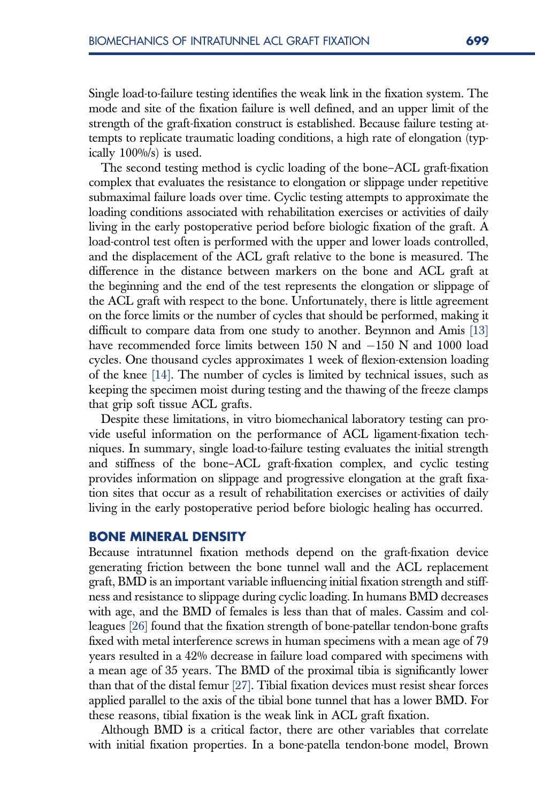Single load-to-failure testing identifies the weak link in the fixation system. The mode and site of the fixation failure is well defined, and an upper limit of the strength of the graft-fixation construct is established. Because failure testing attempts to replicate traumatic loading conditions, a high rate of elongation (typically  $100\%$ /s) is used.

The second testing method is cyclic loading of the bone–ACL graft-fixation complex that evaluates the resistance to elongation or slippage under repetitive submaximal failure loads over time. Cyclic testing attempts to approximate the loading conditions associated with rehabilitation exercises or activities of daily living in the early postoperative period before biologic fixation of the graft. A load-control test often is performed with the upper and lower loads controlled, and the displacement of the ACL graft relative to the bone is measured. The difference in the distance between markers on the bone and ACL graft at the beginning and the end of the test represents the elongation or slippage of the ACL graft with respect to the bone. Unfortunately, there is little agreement on the force limits or the number of cycles that should be performed, making it difficult to compare data from one study to another. Beynnon and Amis [13] have recommended force limits between 150 N and  $-150$  N and 1000 load cycles. One thousand cycles approximates 1 week of flexion-extension loading of the knee [14]. The number of cycles is limited by technical issues, such as keeping the specimen moist during testing and the thawing of the freeze clamps that grip soft tissue ACL grafts.

Despite these limitations, in vitro biomechanical laboratory testing can provide useful information on the performance of ACL ligament-fixation techniques. In summary, single load-to-failure testing evaluates the initial strength and stiffness of the bone-ACL graft-fixation complex, and cyclic testing provides information on slippage and progressive elongation at the graft fixation sites that occur as a result of rehabilitation exercises or activities of daily living in the early postoperative period before biologic healing has occurred.

#### **BONE MINERAL DENSITY**

Because intratunnel fixation methods depend on the graft-fixation device generating friction between the bone tunnel wall and the ACL replacement graft, BMD is an important variable influencing initial fixation strength and stiffness and resistance to slippage during cyclic loading. In humans BMD decreases with age, and the BMD of females is less than that of males. Cassim and colleagues  $[26]$  found that the fixation strength of bone-patellar tendon-bone grafts fixed with metal interference screws in human specimens with a mean age of 79 years resulted in a 42% decrease in failure load compared with specimens with a mean age of 35 years. The BMD of the proximal tibia is significantly lower than that of the distal femur [27]. Tibial fixation devices must resist shear forces applied parallel to the axis of the tibial bone tunnel that has a lower BMD. For these reasons, tibial fixation is the weak link in ACL graft fixation.

Although BMD is a critical factor, there are other variables that correlate with initial fixation properties. In a bone-patella tendon-bone model, Brown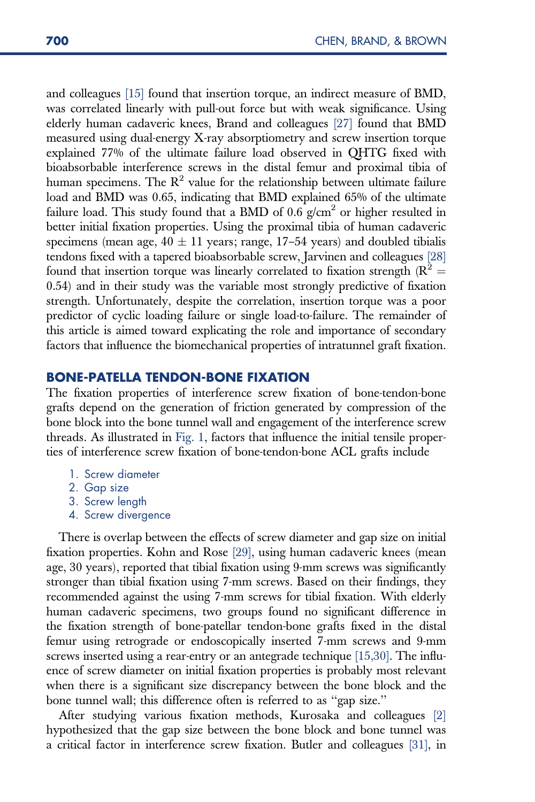and colleagues [15] found that insertion torque, an indirect measure of BMD, was correlated linearly with pull-out force but with weak significance. Using elderly human cadaveric knees, Brand and colleagues [27] found that BMD measured using dual-energy X-ray absorptiometry and screw insertion torque explained 77% of the ultimate failure load observed in QHTG fixed with bioabsorbable interference screws in the distal femur and proximal tibia of human specimens. The  $R^2$  value for the relationship between ultimate failure load and BMD was 0.65, indicating that BMD explained 65% of the ultimate failure load. This study found that a BMD of 0.6  $g/cm<sup>2</sup>$  or higher resulted in better initial fixation properties. Using the proximal tibia of human cadaveric specimens (mean age,  $40 \pm 11$  years; range, 17–54 years) and doubled tibialis tendons fixed with a tapered bioabsorbable screw, Jarvinen and colleagues [28] found that insertion torque was linearly correlated to fixation strength  $(R^2 =$  $(0.54)$  and in their study was the variable most strongly predictive of fixation strength. Unfortunately, despite the correlation, insertion torque was a poor predictor of cyclic loading failure or single load-to-failure. The remainder of this article is aimed toward explicating the role and importance of secondary factors that influence the biomechanical properties of intratunnel graft fixation.

# **BONE-PATELLA TENDON-BONE FIXATION**

The fixation properties of interference screw fixation of bone-tendon-bone grafts depend on the generation of friction generated by compression of the bone block into the bone tunnel wall and engagement of the interference screw threads. As illustrated in Fig. 1, factors that influence the initial tensile properties of interference screw fixation of bone-tendon-bone ACL grafts include

- 1. Screw diameter
- 2. Gap size
- 3. Screw length
- 4. Screw divergence

There is overlap between the effects of screw diameter and gap size on initial fixation properties. Kohn and Rose [29], using human cadaveric knees (mean age, 30 years), reported that tibial fixation using 9-mm screws was significantly stronger than tibial fixation using 7-mm screws. Based on their findings, they recommended against the using 7-mm screws for tibial fixation. With elderly human cadaveric specimens, two groups found no significant difference in the fixation strength of bone-patellar tendon-bone grafts fixed in the distal femur using retrograde or endoscopically inserted 7-mm screws and 9-mm screws inserted using a rear-entry or an antegrade technique  $[15,30]$ . The influence of screw diameter on initial fixation properties is probably most relevant when there is a significant size discrepancy between the bone block and the bone tunnel wall; this difference often is referred to as "gap size."

After studying various fixation methods, Kurosaka and colleagues [2] hypothesized that the gap size between the bone block and bone tunnel was a critical factor in interference screw fixation. Butler and colleagues [31], in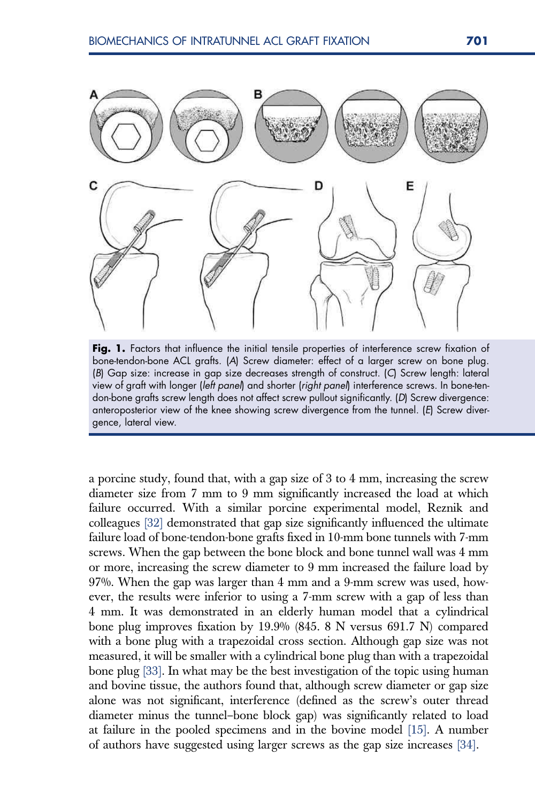

Fig. 1. Factors that influence the initial tensile properties of interference screw fixation of bone-tendon-bone ACL grafts. (A) Screw diameter: effect of a larger screw on bone plug. (B) Gap size: increase in gap size decreases strength of construct. (C) Screw length: lateral view of graft with longer (left panel) and shorter (right panel) interference screws. In bone-tendon-bone grafts screw length does not affect screw pullout significantly. (D) Screw divergence: anteroposterior view of the knee showing screw divergence from the tunnel. (E) Screw divergence, lateral view.

a porcine study, found that, with a gap size of 3 to 4 mm, increasing the screw diameter size from 7 mm to 9 mm significantly increased the load at which failure occurred. With a similar porcine experimental model, Reznik and colleagues [32] demonstrated that gap size significantly influenced the ultimate failure load of bone-tendon-bone grafts fixed in 10-mm bone tunnels with 7-mm screws. When the gap between the bone block and bone tunnel wall was 4 mm or more, increasing the screw diameter to 9 mm increased the failure load by  $97\%$ . When the gap was larger than 4 mm and a 9-mm screw was used, however, the results were inferior to using a 7-mm screw with a gap of less than 4 mm. It was demonstrated in an elderly human model that a cylindrical bone plug improves fixation by 19.9% (845. 8 N versus 691.7 N) compared with a bone plug with a trapezoidal cross section. Although gap size was not measured, it will be smaller with a cylindrical bone plug than with a trapezoidal bone plug [33]. In what may be the best investigation of the topic using human and bovine tissue, the authors found that, although screw diameter or gap size alone was not significant, interference (defined as the screw's outer thread diameter minus the tunnel-bone block gap) was significantly related to load at failure in the pooled specimens and in the bovine model  $[15]$ . A number of authors have suggested using larger screws as the gap size increases [34].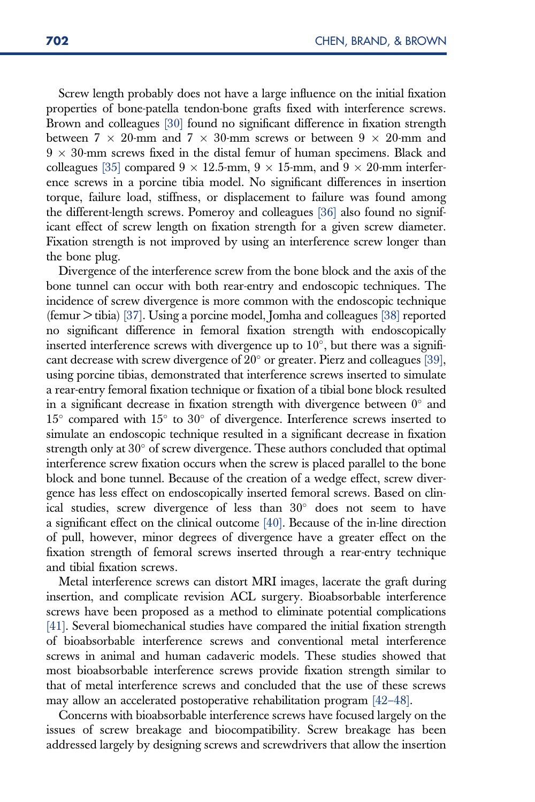Screw length probably does not have a large influence on the initial fixation properties of bone-patella tendon-bone grafts fixed with interference screws. Brown and colleagues [30] found no significant difference in fixation strength between 7  $\times$  20-mm and 7  $\times$  30-mm screws or between 9  $\times$  20-mm and  $9 \times 30$ -mm screws fixed in the distal femur of human specimens. Black and colleagues [35] compared  $9 \times 12.5$ -mm,  $9 \times 15$ -mm, and  $9 \times 20$ -mm interference screws in a porcine tibia model. No significant differences in insertion torque, failure load, stiffness, or displacement to failure was found among the different-length screws. Pomeroy and colleagues [36] also found no significant effect of screw length on fixation strength for a given screw diameter. Fixation strength is not improved by using an interference screw longer than the bone plug.

Divergence of the interference screw from the bone block and the axis of the bone tunnel can occur with both rear-entry and endoscopic techniques. The incidence of screw divergence is more common with the endoscopic technique (femur > tibia) [37]. Using a porcine model, Jomha and colleagues [38] reported no significant difference in femoral fixation strength with endoscopically inserted interference screws with divergence up to  $10^{\circ}$ , but there was a significant decrease with screw divergence of  $20^{\circ}$  or greater. Pierz and colleagues [39], using porcine tibias, demonstrated that interference screws inserted to simulate a rear-entry femoral fixation technique or fixation of a tibial bone block resulted in a significant decrease in fixation strength with divergence between  $0^{\circ}$  and  $15^{\circ}$  compared with  $15^{\circ}$  to  $30^{\circ}$  of divergence. Interference screws inserted to simulate an endoscopic technique resulted in a significant decrease in fixation strength only at 30° of screw divergence. These authors concluded that optimal interference screw fixation occurs when the screw is placed parallel to the bone block and bone tunnel. Because of the creation of a wedge effect, screw divergence has less effect on endoscopically inserted femoral screws. Based on clinical studies, screw divergence of less than 30° does not seem to have a significant effect on the clinical outcome [40]. Because of the in-line direction of pull, however, minor degrees of divergence have a greater effect on the fixation strength of femoral screws inserted through a rear-entry technique and tibial fixation screws.

Metal interference screws can distort MRI images, lacerate the graft during insertion, and complicate revision ACL surgery. Bioabsorbable interference screws have been proposed as a method to eliminate potential complications [41]. Several biomechanical studies have compared the initial fixation strength of bioabsorbable interference screws and conventional metal interference screws in animal and human cadaveric models. These studies showed that most bioabsorbable interference screws provide fixation strength similar to that of metal interference screws and concluded that the use of these screws may allow an accelerated postoperative rehabilitation program [42-48].

Concerns with bioabsorbable interference screws have focused largely on the issues of screw breakage and biocompatibility. Screw breakage has been addressed largely by designing screws and screwdrivers that allow the insertion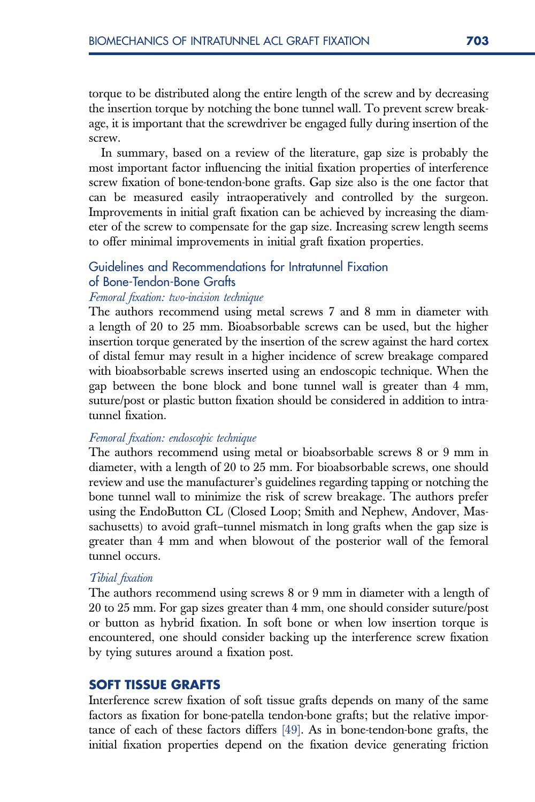torque to be distributed along the entire length of the screw and by decreasing the insertion torque by notching the bone tunnel wall. To prevent screw breakage, it is important that the screwdriver be engaged fully during insertion of the screw.

In summary, based on a review of the literature, gap size is probably the most important factor influencing the initial fixation properties of interference screw fixation of bone-tendon-bone grafts. Gap size also is the one factor that can be measured easily intraoperatively and controlled by the surgeon. Improvements in initial graft fixation can be achieved by increasing the diameter of the screw to compensate for the gap size. Increasing screw length seems to offer minimal improvements in initial graft fixation properties.

# Guidelines and Recommendations for Intratunnel Fixation of Bone-Tendon-Bone Grafts

#### Femoral fixation: two-incision technique

The authors recommend using metal screws 7 and 8 mm in diameter with a length of 20 to 25 mm. Bioabsorbable screws can be used, but the higher insertion torque generated by the insertion of the screw against the hard cortex of distal femur may result in a higher incidence of screw breakage compared with bioabsorbable screws inserted using an endoscopic technique. When the gap between the bone block and bone tunnel wall is greater than 4 mm, suture/post or plastic button fixation should be considered in addition to intratunnel fixation.

#### Femoral fixation: endoscopic technique

The authors recommend using metal or bioabsorbable screws 8 or 9 mm in diameter, with a length of 20 to 25 mm. For bioabsorbable screws, one should review and use the manufacturer's guidelines regarding tapping or notching the bone tunnel wall to minimize the risk of screw breakage. The authors prefer using the EndoButton CL (Closed Loop; Smith and Nephew, Andover, Massachusetts) to avoid graft-tunnel mismatch in long grafts when the gap size is greater than 4 mm and when blowout of the posterior wall of the femoral tunnel occurs.

#### Tibial fixation

The authors recommend using screws 8 or 9 mm in diameter with a length of 20 to 25 mm. For gap sizes greater than 4 mm, one should consider suture/post or button as hybrid fixation. In soft bone or when low insertion torque is encountered, one should consider backing up the interference screw fixation by tying sutures around a fixation post.

# **SOFT TISSUE GRAFTS**

Interference screw fixation of soft tissue grafts depends on many of the same factors as fixation for bone-patella tendon-bone grafts; but the relative importance of each of these factors differs [49]. As in bone-tendon-bone grafts, the initial fixation properties depend on the fixation device generating friction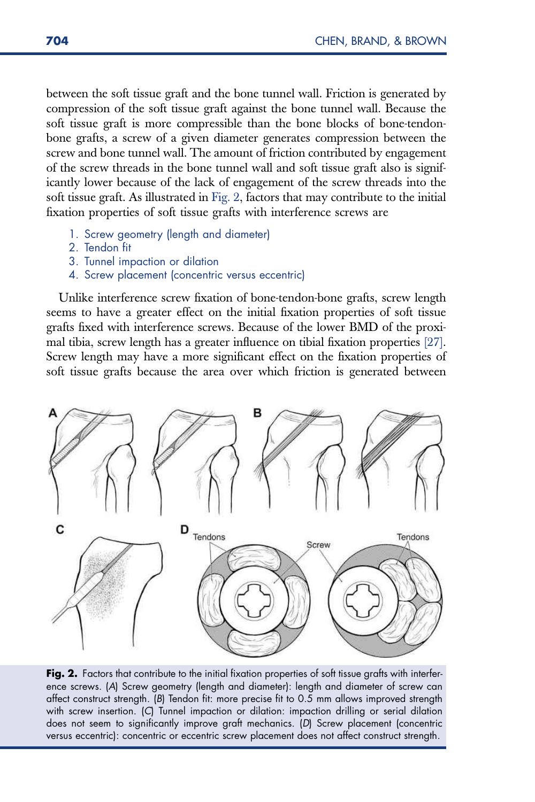between the soft tissue graft and the bone tunnel wall. Friction is generated by compression of the soft tissue graft against the bone tunnel wall. Because the soft tissue graft is more compressible than the bone blocks of bone-tendonbone grafts, a screw of a given diameter generates compression between the screw and bone tunnel wall. The amount of friction contributed by engagement of the screw threads in the bone tunnel wall and soft tissue graft also is significantly lower because of the lack of engagement of the screw threads into the soft tissue graft. As illustrated in Fig. 2, factors that may contribute to the initial fixation properties of soft tissue grafts with interference screws are

- 1. Screw geometry (length and diameter)
- 2. Tendon fit
- 3. Tunnel impaction or dilation
- 4. Screw placement (concentric versus eccentric)

Unlike interference screw fixation of bone-tendon-bone grafts, screw length seems to have a greater effect on the initial fixation properties of soft tissue grafts fixed with interference screws. Because of the lower BMD of the proximal tibia, screw length has a greater influence on tibial fixation properties [27]. Screw length may have a more significant effect on the fixation properties of soft tissue grafts because the area over which friction is generated between



Fig. 2. Factors that contribute to the initial fixation properties of soft tissue grafts with interference screws. (A) Screw geometry (length and diameter): length and diameter of screw can affect construct strength. (B) Tendon fit: more precise fit to 0.5 mm allows improved strength with screw insertion. (C) Tunnel impaction or dilation: impaction drilling or serial dilation does not seem to significantly improve graft mechanics. (D) Screw placement (concentric versus eccentric): concentric or eccentric screw placement does not affect construct strength.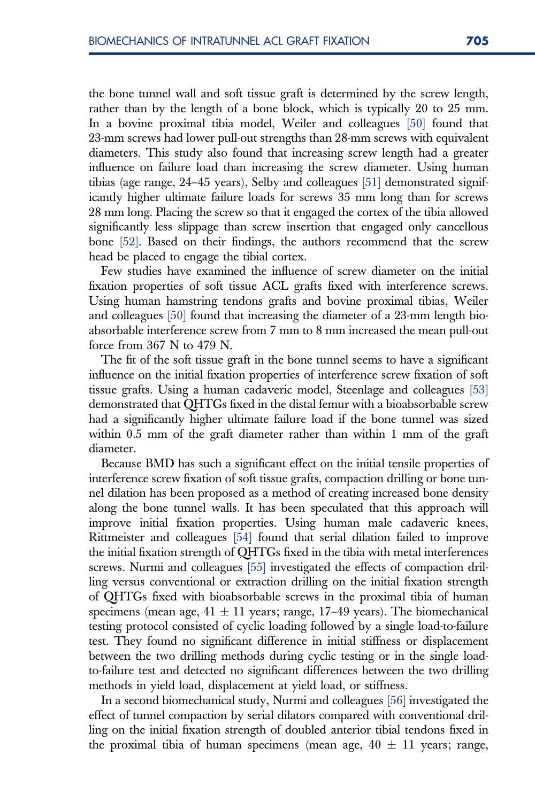the bone tunnel wall and soft tissue graft is determined by the screw length, rather than by the length of a bone block, which is typically 20 to 25 mm. In a bovine proximal tibia model, Weiler and colleagues [50] found that 23-mm screws had lower pull-out strengths than 28-mm screws with equivalent diameters. This study also found that increasing screw length had a greater influence on failure load than increasing the screw diameter. Using human tibias (age range, 24–45 years), Selby and colleagues [51] demonstrated significantly higher ultimate failure loads for screws 35 mm long than for screws 28 mm long. Placing the screw so that it engaged the cortex of the tibia allowed significantly less slippage than screw insertion that engaged only cancellous bone [52]. Based on their findings, the authors recommend that the screw head be placed to engage the tibial cortex.

Few studies have examined the influence of screw diameter on the initial fixation properties of soft tissue ACL grafts fixed with interference screws. Using human hamstring tendons grafts and bovine proximal tibias, Weiler and colleagues [50] found that increasing the diameter of a 23-mm length bioabsorbable interference screw from 7 mm to 8 mm increased the mean pull-out force from  $367$  N to  $479$  N.

The fit of the soft tissue graft in the bone tunnel seems to have a significant influence on the initial fixation properties of interference screw fixation of soft tissue grafts. Using a human cadaveric model, Steenlage and colleagues [53] demonstrated that QHTGs fixed in the distal femur with a bioabsorbable screw had a significantly higher ultimate failure load if the bone tunnel was sized within 0.5 mm of the graft diameter rather than within 1 mm of the graft diameter.

Because BMD has such a significant effect on the initial tensile properties of interference screw fixation of soft tissue grafts, compaction drilling or bone tunnel dilation has been proposed as a method of creating increased bone density along the bone tunnel walls. It has been speculated that this approach will improve initial fixation properties. Using human male cadaveric knees, Rittmeister and colleagues [54] found that serial dilation failed to improve the initial fixation strength of QHTGs fixed in the tibia with metal interferences screws. Nurmi and colleagues [55] investigated the effects of compaction drilling versus conventional or extraction drilling on the initial fixation strength of QHTGs fixed with bioabsorbable screws in the proximal tibia of human specimens (mean age,  $41 \pm 11$  years; range, 17-49 years). The biomechanical testing protocol consisted of cyclic loading followed by a single load-to-failure test. They found no significant difference in initial stiffness or displacement between the two drilling methods during cyclic testing or in the single loadto-failure test and detected no significant differences between the two drilling methods in yield load, displacement at yield load, or stiffness.

In a second biomechanical study, Nurmi and colleagues [56] investigated the effect of tunnel compaction by serial dilators compared with conventional drilling on the initial fixation strength of doubled anterior tibial tendons fixed in the proximal tibia of human specimens (mean age,  $40 \pm 11$  years; range,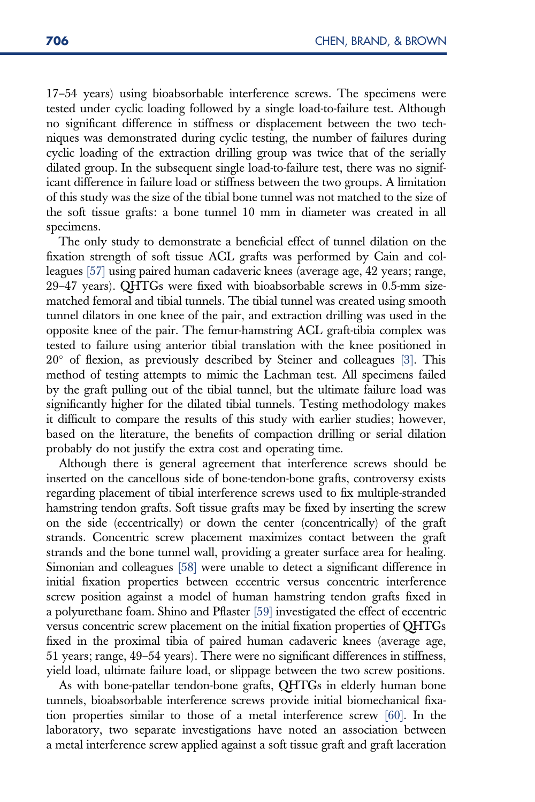17–54 years) using bioabsorbable interference screws. The specimens were tested under cyclic loading followed by a single load-to-failure test. Although no significant difference in stiffness or displacement between the two techniques was demonstrated during cyclic testing, the number of failures during cyclic loading of the extraction drilling group was twice that of the serially dilated group. In the subsequent single load-to-failure test, there was no significant difference in failure load or stiffness between the two groups. A limitation of this study was the size of the tibial bone tunnel was not matched to the size of the soft tissue grafts: a bone tunnel 10 mm in diameter was created in all specimens.

The only study to demonstrate a beneficial effect of tunnel dilation on the fixation strength of soft tissue ACL grafts was performed by Cain and colleagues [57] using paired human cadaveric knees (average age, 42 years; range, 29–47 years). QHTGs were fixed with bioabsorbable screws in 0.5-mm sizematched femoral and tibial tunnels. The tibial tunnel was created using smooth tunnel dilators in one knee of the pair, and extraction drilling was used in the opposite knee of the pair. The femur-hamstring ACL graft-tibia complex was tested to failure using anterior tibial translation with the knee positioned in  $20^{\circ}$  of flexion, as previously described by Steiner and colleagues [3]. This method of testing attempts to mimic the Lachman test. All specimens failed by the graft pulling out of the tibial tunnel, but the ultimate failure load was significantly higher for the dilated tibial tunnels. Testing methodology makes it difficult to compare the results of this study with earlier studies; however, based on the literature, the benefits of compaction drilling or serial dilation probably do not justify the extra cost and operating time.

Although there is general agreement that interference screws should be inserted on the cancellous side of bone-tendon-bone grafts, controversy exists regarding placement of tibial interference screws used to fix multiple-stranded hamstring tendon grafts. Soft tissue grafts may be fixed by inserting the screw on the side (eccentrically) or down the center (concentrically) of the graft strands. Concentric screw placement maximizes contact between the graft strands and the bone tunnel wall, providing a greater surface area for healing. Simonian and colleagues [58] were unable to detect a significant difference in initial fixation properties between eccentric versus concentric interference screw position against a model of human hamstring tendon grafts fixed in a polyurethane foam. Shino and Pflaster [59] investigated the effect of eccentric versus concentric screw placement on the initial fixation properties of QHTGs fixed in the proximal tibia of paired human cadaveric knees (average age, 51 years; range, 49–54 years). There were no significant differences in stiffness, yield load, ultimate failure load, or slippage between the two screw positions.

As with bone-patellar tendon-bone grafts, QHTGs in elderly human bone tunnels, bioabsorbable interference screws provide initial biomechanical fixation properties similar to those of a metal interference screw [60]. In the laboratory, two separate investigations have noted an association between a metal interference screw applied against a soft tissue graft and graft laceration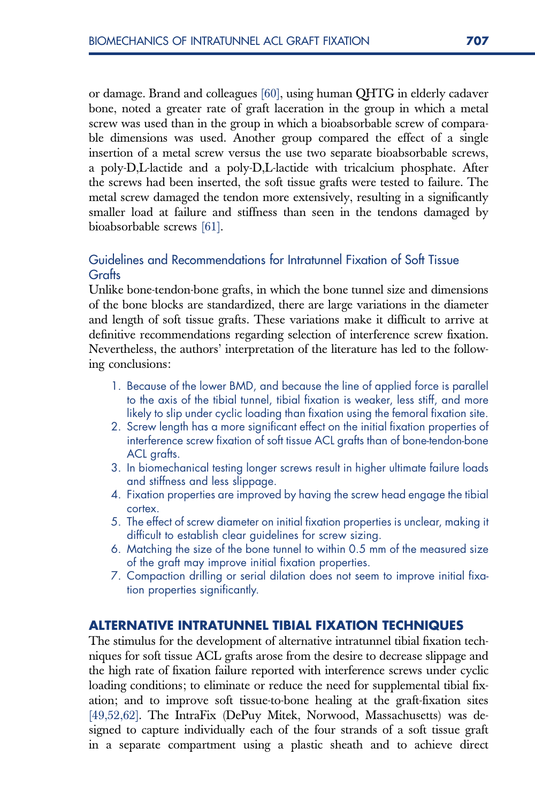or damage. Brand and colleagues [60], using human QHTG in elderly cadaver bone, noted a greater rate of graft laceration in the group in which a metal screw was used than in the group in which a bioabsorbable screw of comparable dimensions was used. Another group compared the effect of a single insertion of a metal screw versus the use two separate bioabsorbable screws, a poly-D,L-lactide and a poly-D,L-lactide with tricalcium phosphate. After the screws had been inserted, the soft tissue grafts were tested to failure. The metal screw damaged the tendon more extensively, resulting in a significantly smaller load at failure and stiffness than seen in the tendons damaged by bioabsorbable screws [61].

# Guidelines and Recommendations for Intratunnel Fixation of Soft Tissue Grafts

Unlike bone-tendon-bone grafts, in which the bone tunnel size and dimensions of the bone blocks are standardized, there are large variations in the diameter and length of soft tissue grafts. These variations make it difficult to arrive at definitive recommendations regarding selection of interference screw fixation. Nevertheless, the authors' interpretation of the literature has led to the following conclusions:

- 1. Because of the lower BMD, and because the line of applied force is parallel to the axis of the tibial tunnel, tibial fixation is weaker, less stiff, and more likely to slip under cyclic loading than fixation using the femoral fixation site.
- 2. Screw length has a more significant effect on the initial fixation properties of interference screw fixation of soft tissue ACL grafts than of bone-tendon-bone ACL grafts.
- 3. In biomechanical testing longer screws result in higher ultimate failure loads and stiffness and less slippage.
- 4. Fixation properties are improved by having the screw head engage the tibial cortex.
- 5. The effect of screw diameter on initial fixation properties is unclear, making it difficult to establish clear guidelines for screw sizing.
- 6. Matching the size of the bone tunnel to within 0.5 mm of the measured size of the graft may improve initial fixation properties.
- 7. Compaction drilling or serial dilation does not seem to improve initial fixation properties significantly.

# **ALTERNATIVE INTRATUNNEL TIBIAL FIXATION TECHNIQUES**

The stimulus for the development of alternative intratunnel tibial fixation techniques for soft tissue ACL grafts arose from the desire to decrease slippage and the high rate of fixation failure reported with interference screws under cyclic loading conditions; to eliminate or reduce the need for supplemental tibial fixation; and to improve soft tissue-to-bone healing at the graft-fixation sites [49,52,62]. The IntraFix (DePuy Mitek, Norwood, Massachusetts) was designed to capture individually each of the four strands of a soft tissue graft in a separate compartment using a plastic sheath and to achieve direct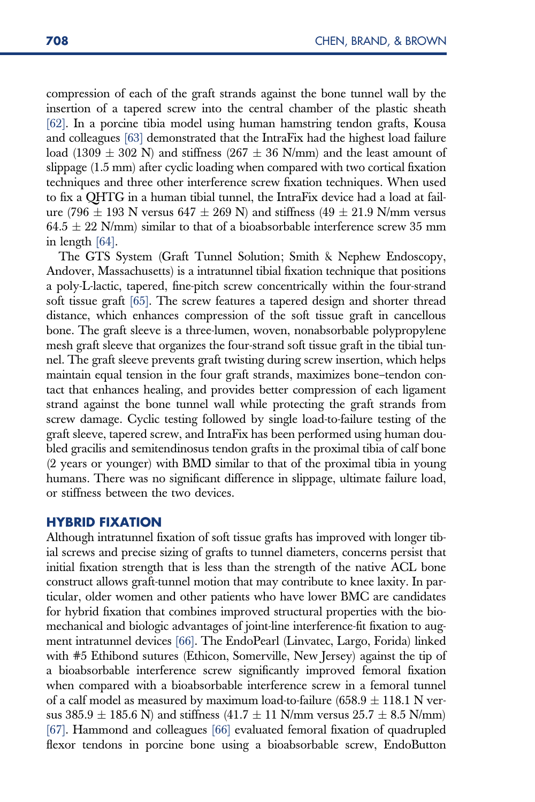compression of each of the graft strands against the bone tunnel wall by the insertion of a tapered screw into the central chamber of the plastic sheath [62]. In a porcine tibia model using human hamstring tendon grafts, Kousa and colleagues [63] demonstrated that the IntraFix had the highest load failure load (1309  $\pm$  302 N) and stiffness (267  $\pm$  36 N/mm) and the least amount of slippage (1.5 mm) after cyclic loading when compared with two cortical fixation techniques and three other interference screw fixation techniques. When used to fix a QHTG in a human tibial tunnel, the IntraFix device had a load at failure (796  $\pm$  193 N versus 647  $\pm$  269 N) and stiffness (49  $\pm$  21.9 N/mm versus  $64.5 \pm 22$  N/mm) similar to that of a bioabsorbable interference screw 35 mm in length  $[64]$ .

The GTS System (Graft Tunnel Solution; Smith & Nephew Endoscopy, Andover, Massachusetts) is a intratunnel tibial fixation technique that positions a poly-L-lactic, tapered, fine-pitch screw concentrically within the four-strand soft tissue graft [65]. The screw features a tapered design and shorter thread distance, which enhances compression of the soft tissue graft in cancellous bone. The graft sleeve is a three-lumen, woven, nonabsorbable polypropylene mesh graft sleeve that organizes the four-strand soft tissue graft in the tibial tunnel. The graft sleeve prevents graft twisting during screw insertion, which helps maintain equal tension in the four graft strands, maximizes bone-tendon contact that enhances healing, and provides better compression of each ligament strand against the bone tunnel wall while protecting the graft strands from screw damage. Cyclic testing followed by single load-to-failure testing of the graft sleeve, tapered screw, and IntraFix has been performed using human doubled gracilis and semitendinosus tendon grafts in the proximal tibia of calf bone (2 years or younger) with BMD similar to that of the proximal tibia in young humans. There was no significant difference in slippage, ultimate failure load, or stiffness between the two devices.

#### **HYBRID FIXATION**

Although intratunnel fixation of soft tissue grafts has improved with longer tibial screws and precise sizing of grafts to tunnel diameters, concerns persist that initial fixation strength that is less than the strength of the native ACL bone construct allows graft-tunnel motion that may contribute to knee laxity. In particular, older women and other patients who have lower BMC are candidates for hybrid fixation that combines improved structural properties with the biomechanical and biologic advantages of joint-line interference-fit fixation to augment intratunnel devices [66]. The EndoPearl (Linvatec, Largo, Forida) linked with #5 Ethibond sutures (Ethicon, Somerville, New Jersey) against the tip of a bioabsorbable interference screw significantly improved femoral fixation when compared with a bioabsorbable interference screw in a femoral tunnel of a calf model as measured by maximum load-to-failure (658.9  $\pm$  118.1 N versus  $385.9 \pm 185.6$  N) and stiffness (41.7  $\pm$  11 N/mm versus  $25.7 \pm 8.5$  N/mm) [67]. Hammond and colleagues [66] evaluated femoral fixation of quadrupled flexor tendons in porcine bone using a bioabsorbable screw, EndoButton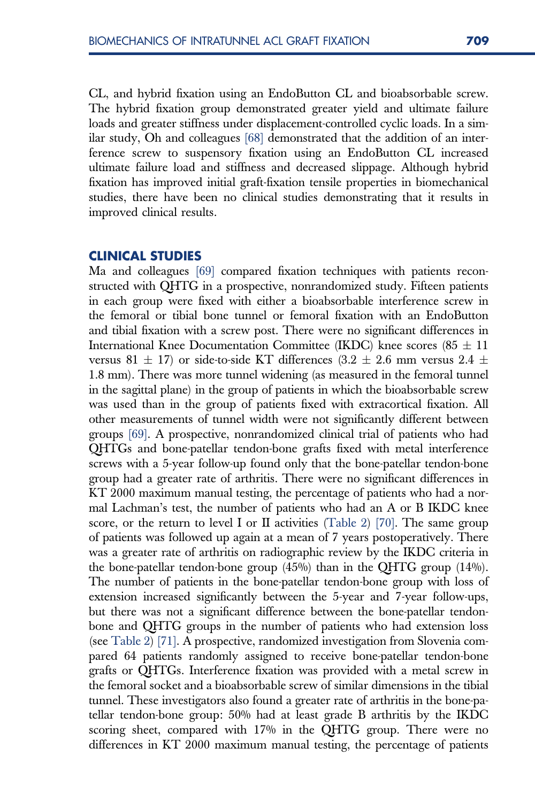CL, and hybrid fixation using an EndoButton CL and bioabsorbable screw. The hybrid fixation group demonstrated greater yield and ultimate failure loads and greater stiffness under displacement-controlled cyclic loads. In a similar study, Oh and colleagues [68] demonstrated that the addition of an interference screw to suspensory fixation using an EndoButton CL increased ultimate failure load and stiffness and decreased slippage. Although hybrid fixation has improved initial graft-fixation tensile properties in biomechanical studies, there have been no clinical studies demonstrating that it results in improved clinical results.

#### **CLINICAL STUDIES**

Ma and colleagues [69] compared fixation techniques with patients reconstructed with QHTG in a prospective, nonrandomized study. Fifteen patients in each group were fixed with either a bioabsorbable interference screw in the femoral or tibial bone tunnel or femoral fixation with an EndoButton and tibial fixation with a screw post. There were no significant differences in International Knee Documentation Committee (IKDC) knee scores (85  $\pm$  11 versus 81  $\pm$  17) or side-to-side KT differences (3.2  $\pm$  2.6 mm versus 2.4  $\pm$ 1.8 mm). There was more tunnel widening (as measured in the femoral tunnel in the sagittal plane) in the group of patients in which the bioabsorbable screw was used than in the group of patients fixed with extracortical fixation. All other measurements of tunnel width were not significantly different between groups [69]. A prospective, nonrandomized clinical trial of patients who had QHTGs and bone-patellar tendon-bone grafts fixed with metal interference screws with a 5-year follow-up found only that the bone-patellar tendon-bone group had a greater rate of arthritis. There were no significant differences in KT 2000 maximum manual testing, the percentage of patients who had a normal Lachman's test, the number of patients who had an A or B IKDC knee score, or the return to level I or II activities (Table 2) [70]. The same group of patients was followed up again at a mean of 7 years postoperatively. There was a greater rate of arthritis on radiographic review by the IKDC criteria in the bone-patellar tendon-bone group  $(45\%)$  than in the QHTG group  $(14\%)$ . The number of patients in the bone-patellar tendon-bone group with loss of extension increased significantly between the 5-year and 7-year follow-ups, but there was not a significant difference between the bone-patellar tendonbone and QHTG groups in the number of patients who had extension loss (see Table 2) [71]. A prospective, randomized investigation from Slovenia compared 64 patients randomly assigned to receive bone-patellar tendon-bone grafts or OHTGs. Interference fixation was provided with a metal screw in the femoral socket and a bioabsorbable screw of similar dimensions in the tibial tunnel. These investigators also found a greater rate of arthritis in the bone-patellar tendon-bone group: 50% had at least grade B arthritis by the IKDC scoring sheet, compared with 17% in the QHTG group. There were no differences in KT 2000 maximum manual testing, the percentage of patients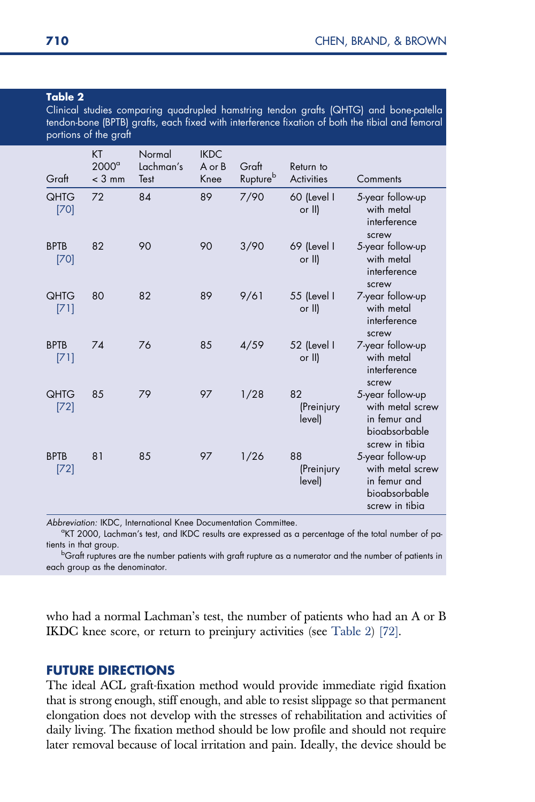#### Table 2

Clinical studies comparing quadrupled hamstring tendon grafts (QHTG) and bone-patella tendon-bone (BPTB) grafts, each fixed with interference fixation of both the tibial and femoral portions of the graft

| Graft                 | KT<br>$2000^\circ$<br>$<$ 3 mm | Normal<br>Lachman's<br>Test | <b>IKDC</b><br>A or B<br>Knee | Graft<br>Ruptureb | Return to<br><b>Activities</b> | Comments                                                                                |
|-----------------------|--------------------------------|-----------------------------|-------------------------------|-------------------|--------------------------------|-----------------------------------------------------------------------------------------|
| <b>QHTG</b><br>[70]   | 72                             | 84                          | 89                            | 7/90              | 60 (Level I<br>or $  $         | 5-year follow-up<br>with metal<br>interference<br>screw                                 |
| <b>BPTB</b><br>$[70]$ | 82                             | 90                          | 90                            | 3/90              | 69 (Level I<br>or $  $         | 5-year follow-up<br>with metal<br>interference<br>screw                                 |
| <b>QHTG</b><br>$[71]$ | 80                             | 82                          | 89                            | 9/61              | 55 (Level I<br>$or$ II)        | 7-year follow-up<br>with metal<br>interference<br>screw                                 |
| <b>BPTB</b><br>$[71]$ | 74                             | 76                          | 85                            | 4/59              | 52 (Level I<br>$or$ II)        | 7-year follow-up<br>with metal<br>interference<br>screw                                 |
| <b>QHTG</b><br>$[72]$ | 85                             | 79                          | 97                            | 1/28              | 82<br>(Preinjury<br>level)     | 5-year follow-up<br>with metal screw<br>in femur and<br>bioabsorbable<br>screw in tibia |
| <b>BPTB</b><br>[72]   | 81                             | 85                          | 97                            | 1/26              | 88<br>(Preinjury<br>level)     | 5-year follow-up<br>with metal screw<br>in femur and<br>bioabsorbable<br>screw in tibia |

Abbreviation: IKDC, International Knee Documentation Committee.

"KT 2000, Lachman's test, and IKDC results are expressed as a percentage of the total number of patients in that group.

<sup>b</sup>Graft ruptures are the number patients with graft rupture as a numerator and the number of patients in each group as the denominator.

who had a normal Lachman's test, the number of patients who had an A or B IKDC knee score, or return to preinjury activities (see Table 2) [72].

# **FUTURE DIRECTIONS**

The ideal ACL graft-fixation method would provide immediate rigid fixation that is strong enough, stiff enough, and able to resist slippage so that permanent elongation does not develop with the stresses of rehabilitation and activities of daily living. The fixation method should be low profile and should not require later removal because of local irritation and pain. Ideally, the device should be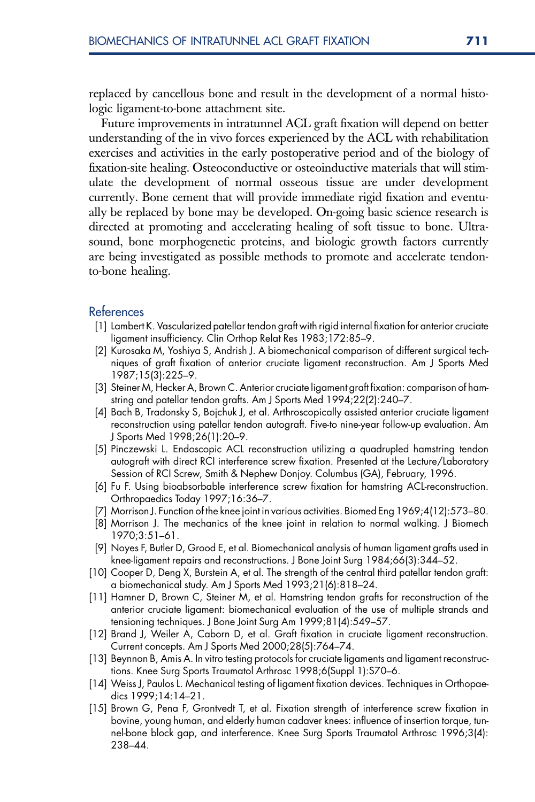replaced by cancellous bone and result in the development of a normal histologic ligament-to-bone attachment site.

Future improvements in intratunnel ACL graft fixation will depend on better understanding of the in vivo forces experienced by the ACL with rehabilitation exercises and activities in the early postoperative period and of the biology of fixation-site healing. Osteoconductive or osteoinductive materials that will stimulate the development of normal osseous tissue are under development currently. Bone cement that will provide immediate rigid fixation and eventually be replaced by bone may be developed. On-going basic science research is directed at promoting and accelerating healing of soft tissue to bone. Ultrasound, bone morphogenetic proteins, and biologic growth factors currently are being investigated as possible methods to promote and accelerate tendonto-bone healing.

#### References

- [1] Lambert K. Vascularized patellar tendon graft with rigid internal fixation for anterior cruciate ligament insufficiency. Clin Orthop Relat Res 1983;172:85-9.
- [2] Kurosaka M, Yoshiya S, Andrish J. A biomechanical comparison of different surgical techniques of graft fixation of anterior cruciate ligament reconstruction. Am J Sports Med 1987;15(3):225-9.
- [3] Steiner M, Hecker A, Brown C. Anterior cruciate ligament graft fixation: comparison of hamstring and patellar tendon grafts. Am J Sports Med 1994;22(2):240–7.
- [4] Bach B, Tradonsky S, Bojchuk J, et al. Arthroscopically assisted anterior cruciate ligament reconstruction using patellar tendon autograft. Five-to nine-year follow-up evaluation. Am J Sports Med 1998;26(1):20-9.
- [5] Pinczewski L. Endoscopic ACL reconstruction utilizing a quadrupled hamstring tendon autograft with direct RCI interference screw fixation. Presented at the Lecture/Laboratory Session of RCI Screw, Smith & Nephew Donjoy. Columbus (GA), February, 1996.
- [6] Fu F. Using bioabsorbable interference screw fixation for hamstring ACL-reconstruction. Orthropaedics Today 1997;16:36-7.
- [7] Morrison J. Function of the knee joint in various activities. Biomed Eng 1969;4(12):573-80.
- [8] Morrison J. The mechanics of the knee joint in relation to normal walking. J Biomech  $1970;3:51-61.$
- [9] Noyes F, Butler D, Grood E, et al. Biomechanical analysis of human ligament grafts used in knee-ligament repairs and reconstructions. J Bone Joint Surg 1984;66(3):344-52.
- [10] Cooper D, Deng X, Burstein A, et al. The strength of the central third patellar tendon graft: a biomechanical study. Am J Sports Med 1993;21(6):818-24.
- [11] Hamner D, Brown C, Steiner M, et al. Hamstring tendon grafts for reconstruction of the anterior cruciate ligament: biomechanical evaluation of the use of multiple strands and tensioning techniques. J Bone Joint Surg Am 1999;81(4):549-57.
- [12] Brand J, Weiler A, Caborn D, et al. Graft fixation in cruciate ligament reconstruction. Current concepts. Am J Sports Med 2000;28(5):764-74.
- [13] Beynnon B, Amis A. In vitro testing protocols for cruciate ligaments and ligament reconstructions. Knee Surg Sports Traumatol Arthrosc 1998;6(Suppl 1):S70-6.
- [14] Weiss J, Paulos L. Mechanical testing of ligament fixation devices. Techniques in Orthopaedics 1999;14:14-21.
- [15] Brown G, Pena F, Grontvedt T, et al. Fixation strength of interference screw fixation in bovine, young human, and elderly human cadaver knees: influence of insertion torque, tunnel-bone block gap, and interference. Knee Surg Sports Traumatol Arthrosc 1996;3(4):  $238 - 44$ .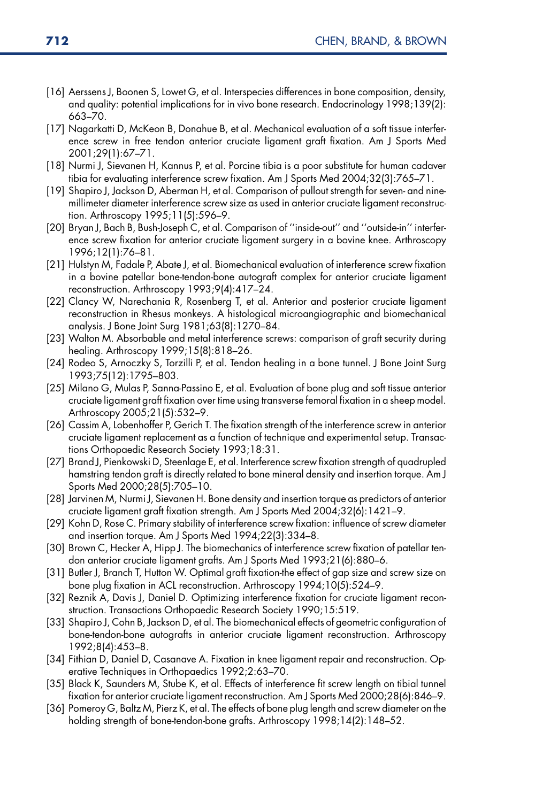- [16] Aerssens J, Boonen S, Lowet G, et al. Interspecies differences in bone composition, density, and quality: potential implications for in vivo bone research. Endocrinology 1998;139(2): 663-70.
- [17] Nagarkatti D, McKeon B, Donahue B, et al. Mechanical evaluation of a soft tissue interference screw in free tendon anterior cruciate ligament graft fixation. Am J Sports Med 2001;29(1):67-71.
- [18] Nurmi J, Sievanen H, Kannus P, et al. Porcine tibia is a poor substitute for human cadaver tibia for evaluating interference screw fixation. Am J Sports Med 2004;32(3):765-71.
- [19] Shapiro J, Jackson D, Aberman H, et al. Comparison of pullout strength for seven- and ninemillimeter diameter interference screw size as used in anterior cruciate ligament reconstruction. Arthroscopy 1995;11(5):596-9.
- [20] Bryan J, Bach B, Bush-Joseph C, et al. Comparison of "inside-out" and "outside-in" interference screw fixation for anterior cruciate ligament surgery in a bovine knee. Arthroscopy 1996;12(1):76-81.
- [21] Hulstyn M, Fadale P, Abate J, et al. Biomechanical evaluation of interference screw fixation in a bovine patellar bone-tendon-bone autograft complex for anterior cruciate ligament reconstruction. Arthroscopy 1993;9(4):417-24.
- [22] Clancy W, Narechania R, Rosenberg T, et al. Anterior and posterior cruciate ligament reconstruction in Rhesus monkeys. A histological microangiographic and biomechanical analysis. J Bone Joint Surg 1981;63(8):1270-84.
- [23] Walton M. Absorbable and metal interference screws: comparison of graft security during healing. Arthroscopy 1999;15(8):818-26.
- [24] Rodeo S, Arnoczky S, Torzilli P, et al. Tendon healing in a bone tunnel. J Bone Joint Surg 1993;75(12):1795-803.
- [25] Milano G, Mulas P, Sanna-Passino E, et al. Evaluation of bone plug and soft tissue anterior cruciate ligament graft fixation over time using transverse femoral fixation in a sheep model. Arthroscopy 2005;21(5):532-9.
- [26] Cassim A, Lobenhoffer P, Gerich T. The fixation strength of the interference screw in anterior cruciate ligament replacement as a function of technique and experimental setup. Transactions Orthopaedic Research Society 1993;18:31.
- [27] Brand J, Pienkowski D, Steenlage E, et al. Interference screw fixation strength of quadrupled hamstring tendon graft is directly related to bone mineral density and insertion torque. Am J Sports Med 2000;28(5):705-10.
- [28] Jarvinen M, Nurmi J, Sievanen H. Bone density and insertion torque as predictors of anterior cruciate ligament graft fixation strength. Am J Sports Med 2004;32(6):1421-9.
- [29] Kohn D, Rose C. Primary stability of interference screw fixation: influence of screw diameter and insertion torque. Am J Sports Med 1994;22(3):334-8.
- [30] Brown C, Hecker A, Hipp J. The biomechanics of interference screw fixation of patellar tendon anterior cruciate ligament grafts. Am J Sports Med 1993;21(6):880-6.
- [31] Butler J, Branch T, Hutton W. Optimal graft fixation-the effect of gap size and screw size on bone plug fixation in ACL reconstruction. Arthroscopy 1994;10(5):524–9.
- [32] Reznik A, Davis J, Daniel D. Optimizing interference fixation for cruciate ligament reconstruction. Transactions Orthopaedic Research Society 1990;15:519.
- [33] Shapiro J, Cohn B, Jackson D, et al. The biomechanical effects of geometric configuration of bone-tendon-bone autografts in anterior cruciate ligament reconstruction. Arthroscopy 1992;8(4):453-8.
- [34] Fithian D, Daniel D, Casanave A. Fixation in knee ligament repair and reconstruction. Operative Techniques in Orthopaedics 1992;2:63-70.
- [35] Black K, Saunders M, Stube K, et al. Effects of interference fit screw length on tibial tunnel fixation for anterior cruciate ligament reconstruction. Am J Sports Med 2000;28(6):846-9.
- [36] Pomeroy G, Baltz M, Pierz K, et al. The effects of bone plug length and screw diameter on the holding strength of bone-tendon-bone grafts. Arthroscopy 1998;14(2):148-52.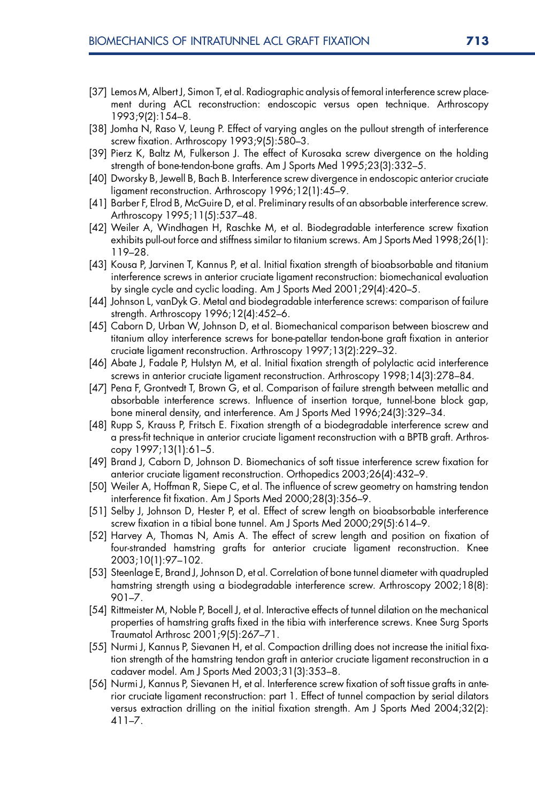- [37] Lemos M, Albert J, Simon T, et al. Radiographic analysis of femoral interference screw placement during ACL reconstruction: endoscopic versus open technique. Arthroscopy 1993;9(2):154-8.
- [38] Jomha N, Raso V, Leung P. Effect of varying angles on the pullout strength of interference screw fixation. Arthroscopy 1993;9(5):580-3.
- [39] Pierz K, Baltz M, Fulkerson J. The effect of Kurosaka screw divergence on the holding strength of bone-tendon-bone grafts. Am J Sports Med 1995;23(3):332-5.
- [40] Dworsky B, Jewell B, Bach B. Interference screw divergence in endoscopic anterior cruciate ligament reconstruction. Arthroscopy 1996;12(1):45-9.
- [41] Barber F, Elrod B, McGuire D, et al. Preliminary results of an absorbable interference screw. Arthroscopy 1995;11(5):537-48.
- [42] Weiler A, Windhagen H, Raschke M, et al. Biodegradable interference screw fixation exhibits pull-out force and stiffness similar to titanium screws. Am J Sports Med 1998;26(1): 119-28.
- [43] Kousa P, Jarvinen T, Kannus P, et al. Initial fixation strength of bioabsorbable and titanium interference screws in anterior cruciate ligament reconstruction: biomechanical evaluation by single cycle and cyclic loading. Am J Sports Med 2001;29(4):420-5.
- [44] Johnson L, vanDyk G. Metal and biodegradable interference screws: comparison of failure strength. Arthroscopy 1996;12(4):452-6.
- [45] Caborn D, Urban W, Johnson D, et al. Biomechanical comparison between bioscrew and titanium alloy interference screws for bone-patellar tendon-bone graft fixation in anterior cruciate ligament reconstruction. Arthroscopy 1997;13(2):229-32.
- [46] Abate J, Fadale P, Hulstyn M, et al. Initial fixation strength of polylactic acid interference screws in anterior cruciate ligament reconstruction. Arthroscopy 1998;14(3):278-84.
- [47] Pena F, Grontvedt T, Brown G, et al. Comparison of failure strength between metallic and absorbable interference screws. Influence of insertion torque, tunnel-bone block gap, bone mineral density, and interference. Am J Sports Med 1996;24(3):329-34.
- [48] Rupp S, Krauss P, Fritsch E. Fixation strength of a biodegradable interference screw and a press-fit technique in anterior cruciate ligament reconstruction with a BPTB graft. Arthroscopy 1997;13(1):61-5.
- [49] Brand J, Caborn D, Johnson D. Biomechanics of soft tissue interference screw fixation for anterior cruciate ligament reconstruction. Orthopedics 2003;26(4):432-9.
- [50] Weiler A, Hoffman R, Siepe C, et al. The influence of screw geometry on hamstring tendon interference fit fixation. Am J Sports Med 2000;28(3):356-9.
- [51] Selby J, Johnson D, Hester P, et al. Effect of screw length on bioabsorbable interference screw fixation in a tibial bone tunnel. Am J Sports Med 2000;29(5):614–9.
- [52] Harvey A, Thomas N, Amis A. The effect of screw length and position on fixation of four-stranded hamstring grafts for anterior cruciate ligament reconstruction. Knee 2003;10(1):97-102.
- [53] Steenlage E, Brand J, Johnson D, et al. Correlation of bone tunnel diameter with quadrupled hamstring strength using a biodegradable interference screw. Arthroscopy 2002;18(8):  $901 - 7.$
- [54] Rittmeister M, Noble P, Bocell J, et al. Interactive effects of tunnel dilation on the mechanical properties of hamstring grafts fixed in the tibia with interference screws. Knee Surg Sports Traumatol Arthrosc 2001;9(5):267-71.
- [55] Nurmi J, Kannus P, Sievanen H, et al. Compaction drilling does not increase the initial fixation strength of the hamstring tendon graft in anterior cruciate ligament reconstruction in a cadaver model. Am J Sports Med 2003;31(3):353–8.
- [56] Nurmi J, Kannus P, Sievanen H, et al. Interference screw fixation of soft tissue grafts in anterior cruciate ligament reconstruction: part 1. Effect of tunnel compaction by serial dilators versus extraction drilling on the initial fixation strength. Am J Sports Med 2004;32(2):  $411 - 7.$